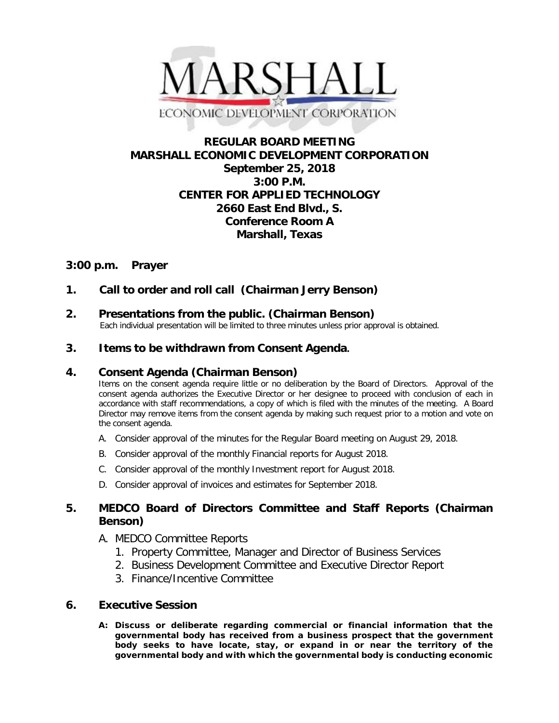

# **REGULAR BOARD MEETING MARSHALL ECONOMIC DEVELOPMENT CORPORATION September 25, 2018 3:00 P.M. CENTER FOR APPLIED TECHNOLOGY 2660 East End Blvd., S. Conference Room A Marshall, Texas**

# **3:00 p.m. Prayer**

# **1. Call to order and roll call (Chairman Jerry Benson)**

**2. Presentations from the public. (Chairman Benson)**<br>Each individual presentation will be limited to three minutes unless prior approval is obtained.

### **3. Items to be withdrawn from Consent Agenda.**

#### **4. Consent Agenda (Chairman Benson)**

Items on the consent agenda require little or no deliberation by the Board of Directors. Approval of the consent agenda authorizes the Executive Director or her designee to proceed with conclusion of each in accordance with staff recommendations, a copy of which is filed with the minutes of the meeting. A Board Director may remove items from the consent agenda by making such request prior to a motion and vote on the consent agenda.

- A. Consider approval of the minutes for the Regular Board meeting on August 29, 2018.
- B. Consider approval of the monthly Financial reports for August 2018.
- C. Consider approval of the monthly Investment report for August 2018.
- D. Consider approval of invoices and estimates for September 2018.

### **5. MEDCO Board of Directors Committee and Staff Reports (Chairman Benson)**

#### A. MEDCO Committee Reports

- 1. Property Committee, Manager and Director of Business Services
- 2. Business Development Committee and Executive Director Report
- 3. Finance/Incentive Committee

#### **6. Executive Session**

**A: Discuss or deliberate regarding commercial or financial information that the governmental body has received from a business prospect that the government body seeks to have locate, stay, or expand in or near the territory of the governmental body and with which the governmental body is conducting economic**